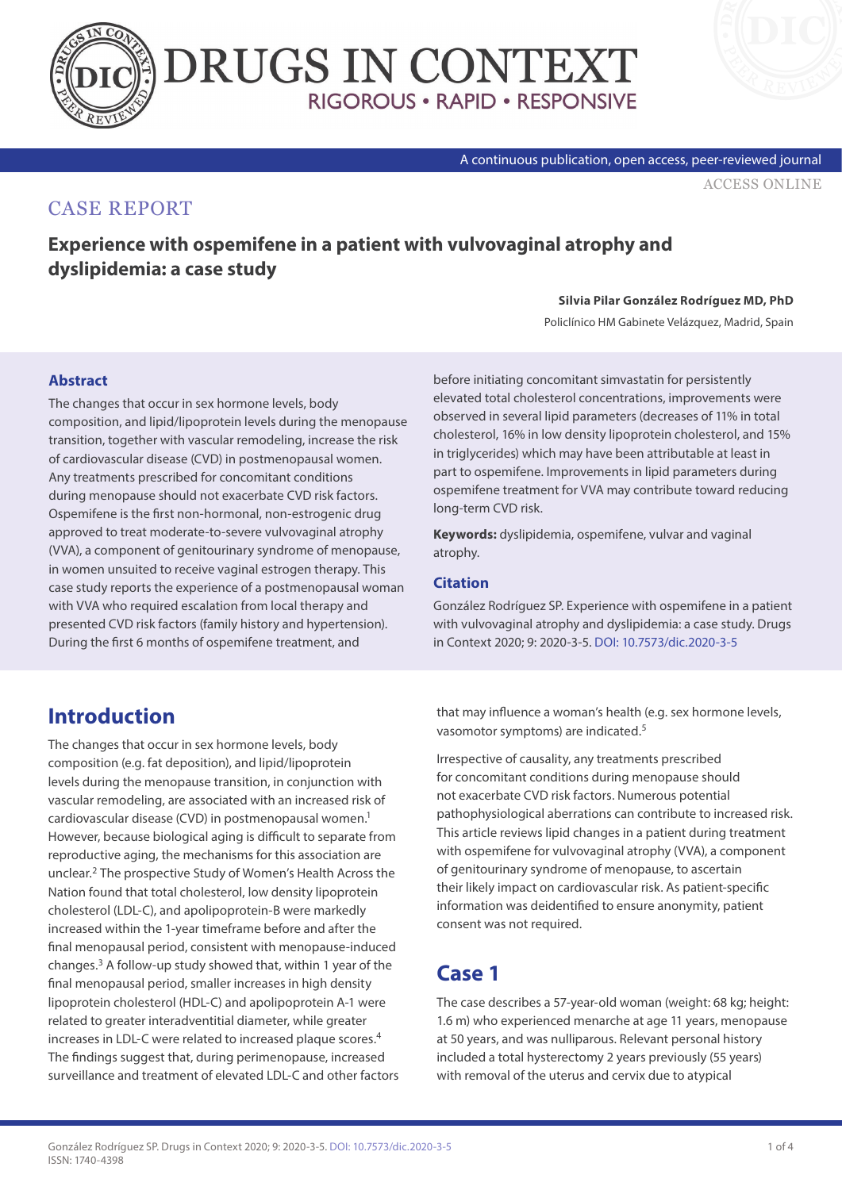



#### A continuous publication, open access, peer-reviewed journal

[ACCESS ONLINE](https://www.drugsincontext.com/experience-with-ospemifene-in-a-patient-with-vulvovaginal-atrophy-and-dyslipidemia:-a-case-study)

### CASE REPORT

**Experience with ospemifene in a patient with vulvovaginal atrophy and dyslipidemia: a case study**

#### **Silvia Pilar González Rodríguez MD, PhD**

Policlínico HM Gabinete Velázquez, Madrid, Spain

### **Abstract**

The changes that occur in sex hormone levels, body composition, and lipid/lipoprotein levels during the menopause transition, together with vascular remodeling, increase the risk of cardiovascular disease (CVD) in postmenopausal women. Any treatments prescribed for concomitant conditions during menopause should not exacerbate CVD risk factors. Ospemifene is the first non-hormonal, non-estrogenic drug approved to treat moderate-to-severe vulvovaginal atrophy (VVA), a component of genitourinary syndrome of menopause, in women unsuited to receive vaginal estrogen therapy. This case study reports the experience of a postmenopausal woman with VVA who required escalation from local therapy and presented CVD risk factors (family history and hypertension). During the first 6 months of ospemifene treatment, and

before initiating concomitant simvastatin for persistently elevated total cholesterol concentrations, improvements were observed in several lipid parameters (decreases of 11% in total cholesterol, 16% in low density lipoprotein cholesterol, and 15% in triglycerides) which may have been attributable at least in part to ospemifene. Improvements in lipid parameters during ospemifene treatment for VVA may contribute toward reducing long-term CVD risk.

**Keywords:** dyslipidemia, ospemifene, vulvar and vaginal atrophy.

### **Citation**

González Rodríguez SP. Experience with ospemifene in a patient with vulvovaginal atrophy and dyslipidemia: a case study. Drugs in Context 2020; 9: 2020-3-5. [DOI: 10.7573/dic.2020-3-5](https://doi.org/10.7573/dic.2020-3-5)

# **Introduction**

The changes that occur in sex hormone levels, body composition (e.g. fat deposition), and lipid/lipoprotein levels during the menopause transition, in conjunction with vascular remodeling, are associated with an increased risk of cardiovascular disease (CVD) in postmenopausal women.1 However, because biological aging is difficult to separate from reproductive aging, the mechanisms for this association are unclear.2 The prospective Study of Women's Health Across the Nation found that total cholesterol, low density lipoprotein cholesterol (LDL-C), and apolipoprotein-B were markedly increased within the 1-year timeframe before and after the final menopausal period, consistent with menopause-induced changes.3 A follow-up study showed that, within 1 year of the final menopausal period, smaller increases in high density lipoprotein cholesterol (HDL-C) and apolipoprotein A-1 were related to greater interadventitial diameter, while greater increases in LDL-C were related to increased plaque scores.4 The findings suggest that, during perimenopause, increased surveillance and treatment of elevated LDL-C and other factors that may influence a woman's health (e.g. sex hormone levels, vasomotor symptoms) are indicated.5

Irrespective of causality, any treatments prescribed for concomitant conditions during menopause should not exacerbate CVD risk factors. Numerous potential pathophysiological aberrations can contribute to increased risk. This article reviews lipid changes in a patient during treatment with ospemifene for vulvovaginal atrophy (VVA), a component of genitourinary syndrome of menopause, to ascertain their likely impact on cardiovascular risk. As patient-specific information was deidentified to ensure anonymity, patient consent was not required.

# **Case 1**

The case describes a 57-year-old woman (weight: 68 kg; height: 1.6 m) who experienced menarche at age 11 years, menopause at 50 years, and was nulliparous. Relevant personal history included a total hysterectomy 2 years previously (55 years) with removal of the uterus and cervix due to atypical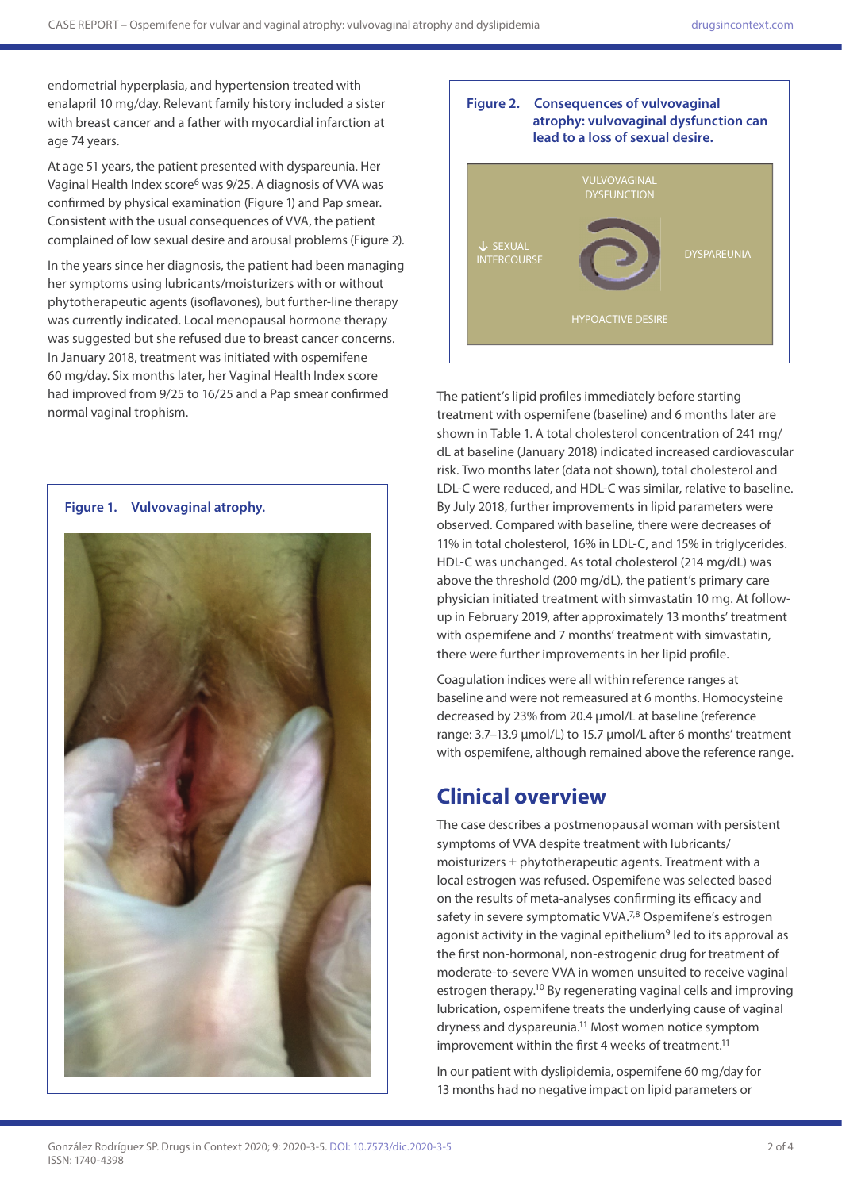endometrial hyperplasia, and hypertension treated with enalapril 10 mg/day. Relevant family history included a sister with breast cancer and a father with myocardial infarction at age 74 years.

At age 51 years, the patient presented with dyspareunia. Her Vaginal Health Index score<sup>6</sup> was 9/25. A diagnosis of VVA was confirmed by physical examination (Figure 1) and Pap smear. Consistent with the usual consequences of VVA, the patient complained of low sexual desire and arousal problems (Figure 2).

In the years since her diagnosis, the patient had been managing her symptoms using lubricants/moisturizers with or without phytotherapeutic agents (isoflavones), but further-line therapy was currently indicated. Local menopausal hormone therapy was suggested but she refused due to breast cancer concerns. In January 2018, treatment was initiated with ospemifene 60 mg/day. Six months later, her Vaginal Health Index score had improved from 9/25 to 16/25 and a Pap smear confirmed normal vaginal trophism.





The patient's lipid profiles immediately before starting treatment with ospemifene (baseline) and 6 months later are shown in Table 1. A total cholesterol concentration of 241 mg/ dL at baseline (January 2018) indicated increased cardiovascular risk. Two months later (data not shown), total cholesterol and LDL-C were reduced, and HDL-C was similar, relative to baseline. By July 2018, further improvements in lipid parameters were observed. Compared with baseline, there were decreases of 11% in total cholesterol, 16% in LDL-C, and 15% in triglycerides. HDL-C was unchanged. As total cholesterol (214 mg/dL) was above the threshold (200 mg/dL), the patient's primary care physician initiated treatment with simvastatin 10 mg. At followup in February 2019, after approximately 13 months' treatment with ospemifene and 7 months' treatment with simvastatin, there were further improvements in her lipid profile.

Coagulation indices were all within reference ranges at baseline and were not remeasured at 6 months. Homocysteine decreased by 23% from 20.4 μmol/L at baseline (reference range: 3.7–13.9 μmol/L) to 15.7 μmol/L after 6 months' treatment with ospemifene, although remained above the reference range.

## **Clinical overview**

The case describes a postmenopausal woman with persistent symptoms of VVA despite treatment with lubricants/ moisturizers ± phytotherapeutic agents. Treatment with a local estrogen was refused. Ospemifene was selected based on the results of meta-analyses confirming its efficacy and safety in severe symptomatic VVA.<sup>7,8</sup> Ospemifene's estrogen agonist activity in the vaginal epithelium<sup>9</sup> led to its approval as the first non-hormonal, non-estrogenic drug for treatment of moderate-to-severe VVA in women unsuited to receive vaginal estrogen therapy.<sup>10</sup> By regenerating vaginal cells and improving lubrication, ospemifene treats the underlying cause of vaginal dryness and dyspareunia.11 Most women notice symptom improvement within the first 4 weeks of treatment.<sup>11</sup>

In our patient with dyslipidemia, ospemifene 60 mg/day for 13 months had no negative impact on lipid parameters or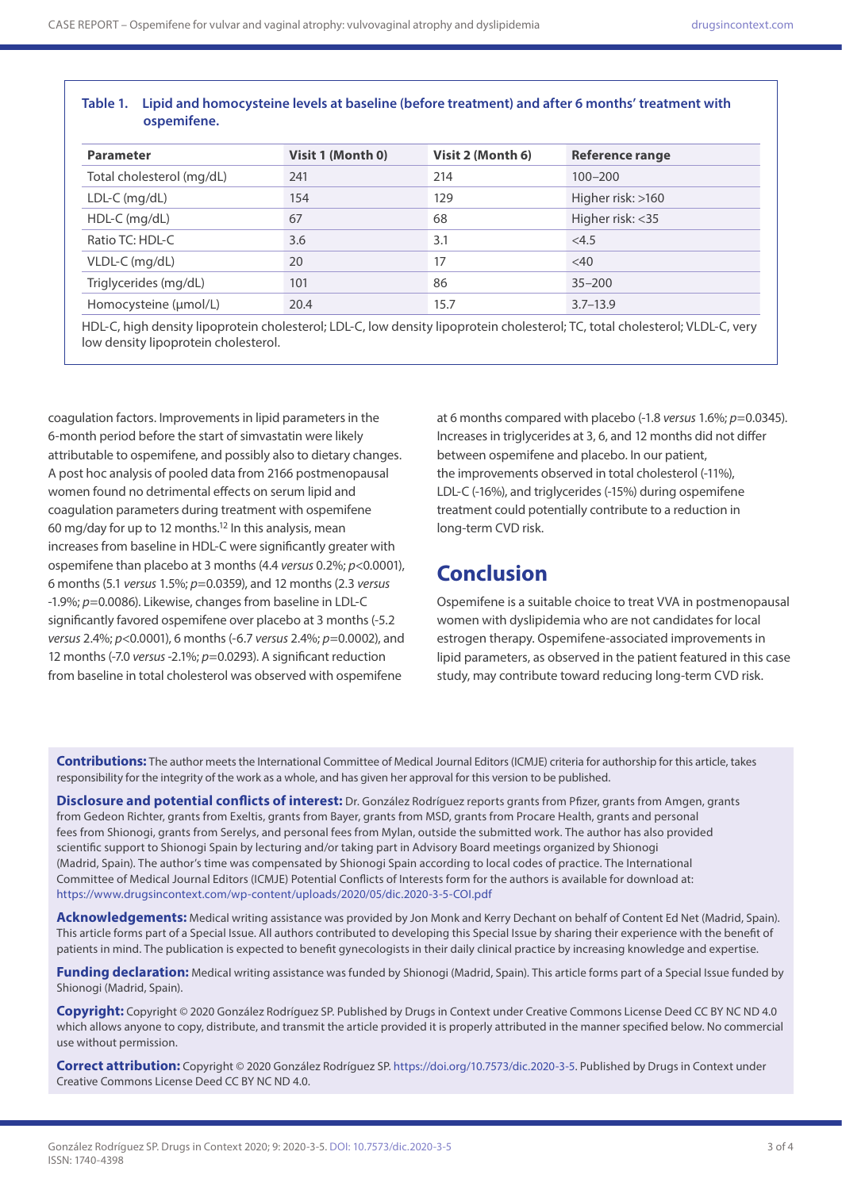### **Table 1. Lipid and homocysteine levels at baseline (before treatment) and after 6 months' treatment with ospemifene.**

| <b>Parameter</b>          | Visit 1 (Month 0) | Visit 2 (Month 6) | Reference range   |
|---------------------------|-------------------|-------------------|-------------------|
| Total cholesterol (mg/dL) | 241               | 214               | $100 - 200$       |
| $LDL-C (mg/dL)$           | 154               | 129               | Higher risk: >160 |
| HDL-C (mg/dL)             | 67                | 68                | Higher risk: <35  |
| Ratio TC: HDL-C           | 3.6               | 3.1               | <4.5              |
| VLDL-C (mg/dL)            | 20                | 17                | $<$ 40            |
| Triglycerides (mg/dL)     | 101               | 86                | $35 - 200$        |
| Homocysteine (µmol/L)     | 20.4              | 15.7              | $3.7 - 13.9$      |

HDL-C, high density lipoprotein cholesterol; LDL-C, low density lipoprotein cholesterol; TC, total cholesterol; VLDL-C, very low density lipoprotein cholesterol.

coagulation factors. Improvements in lipid parameters in the 6-month period before the start of simvastatin were likely attributable to ospemifene, and possibly also to dietary changes. A post hoc analysis of pooled data from 2166 postmenopausal women found no detrimental effects on serum lipid and coagulation parameters during treatment with ospemifene 60 mg/day for up to 12 months.<sup>12</sup> In this analysis, mean increases from baseline in HDL-C were significantly greater with ospemifene than placebo at 3 months (4.4 *versus* 0.2%; *p*<0.0001), 6 months (5.1 *versus* 1.5%; *p*=0.0359), and 12 months (2.3 *versus* -1.9%; *p*=0.0086). Likewise, changes from baseline in LDL-C significantly favored ospemifene over placebo at 3 months (-5.2 *versus* 2.4%; *p*<0.0001), 6 months (-6.7 *versus* 2.4%; *p*=0.0002), and 12 months (-7.0 *versus* -2.1%; *p*=0.0293). A significant reduction from baseline in total cholesterol was observed with ospemifene

at 6 months compared with placebo (-1.8 *versus* 1.6%; *p*=0.0345). Increases in triglycerides at 3, 6, and 12 months did not differ between ospemifene and placebo. In our patient, the improvements observed in total cholesterol (-11%), LDL-C (-16%), and triglycerides (-15%) during ospemifene treatment could potentially contribute to a reduction in long-term CVD risk.

## **Conclusion**

Ospemifene is a suitable choice to treat VVA in postmenopausal women with dyslipidemia who are not candidates for local estrogen therapy. Ospemifene-associated improvements in lipid parameters, as observed in the patient featured in this case study, may contribute toward reducing long-term CVD risk.

**Contributions:** The author meets the International Committee of Medical Journal Editors (ICMJE) criteria for authorship for this article, takes responsibility for the integrity of the work as a whole, and has given her approval for this version to be published.

**Disclosure and potential conflicts of interest:** Dr. González Rodríguez reports grants from Pfizer, grants from Amgen, grants from Gedeon Richter, grants from Exeltis, grants from Bayer, grants from MSD, grants from Procare Health, grants and personal fees from Shionogi, grants from Serelys, and personal fees from Mylan, outside the submitted work. The author has also provided scientific support to Shionogi Spain by lecturing and/or taking part in Advisory Board meetings organized by Shionogi (Madrid, Spain). The author's time was compensated by Shionogi Spain according to local codes of practice. The International Committee of Medical Journal Editors (ICMJE) Potential Conflicts of Interests form for the authors is available for download at: <https://www.drugsincontext.com/wp-content/uploads/2020/05/dic.2020-3-5-COI.pdf>

**Acknowledgements:** Medical writing assistance was provided by Jon Monk and Kerry Dechant on behalf of Content Ed Net (Madrid, Spain). This article forms part of a Special Issue. All authors contributed to developing this Special Issue by sharing their experience with the benefit of patients in mind. The publication is expected to benefit gynecologists in their daily clinical practice by increasing knowledge and expertise.

Funding declaration: Medical writing assistance was funded by Shionogi (Madrid, Spain). This article forms part of a Special Issue funded by Shionogi (Madrid, Spain).

**Copyright:** Copyright © 2020 González Rodríguez SP. Published by Drugs in Context under Creative Commons License Deed CC BY NC ND 4.0 which allows anyone to copy, distribute, and transmit the article provided it is properly attributed in the manner specified below. No commercial use without permission.

**Correct attribution:** Copyright © 2020 González Rodríguez SP. [https://doi.org/10.7573/dic.2020-3-5.](https://doi.org/10.7573/dic.2020-3-5) Published by Drugs in Context under Creative Commons License Deed CC BY NC ND 4.0.